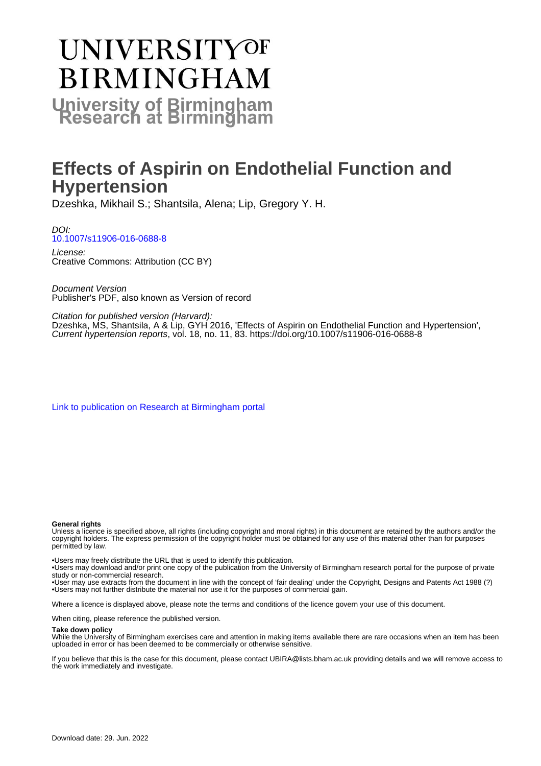# **UNIVERSITYOF BIRMINGHAM University of Birmingham**

## **Effects of Aspirin on Endothelial Function and Hypertension**

Dzeshka, Mikhail S.; Shantsila, Alena; Lip, Gregory Y. H.

DOI: [10.1007/s11906-016-0688-8](https://doi.org/10.1007/s11906-016-0688-8)

License: Creative Commons: Attribution (CC BY)

Document Version Publisher's PDF, also known as Version of record

Citation for published version (Harvard):

Dzeshka, MS, Shantsila, A & Lip, GYH 2016, 'Effects of Aspirin on Endothelial Function and Hypertension', Current hypertension reports, vol. 18, no. 11, 83. <https://doi.org/10.1007/s11906-016-0688-8>

[Link to publication on Research at Birmingham portal](https://birmingham.elsevierpure.com/en/publications/fba9e4f9-ded2-47bd-8465-1eb5c6526d00)

#### **General rights**

Unless a licence is specified above, all rights (including copyright and moral rights) in this document are retained by the authors and/or the copyright holders. The express permission of the copyright holder must be obtained for any use of this material other than for purposes permitted by law.

• Users may freely distribute the URL that is used to identify this publication.

• Users may download and/or print one copy of the publication from the University of Birmingham research portal for the purpose of private study or non-commercial research.

• User may use extracts from the document in line with the concept of 'fair dealing' under the Copyright, Designs and Patents Act 1988 (?) • Users may not further distribute the material nor use it for the purposes of commercial gain.

Where a licence is displayed above, please note the terms and conditions of the licence govern your use of this document.

When citing, please reference the published version.

#### **Take down policy**

While the University of Birmingham exercises care and attention in making items available there are rare occasions when an item has been uploaded in error or has been deemed to be commercially or otherwise sensitive.

If you believe that this is the case for this document, please contact UBIRA@lists.bham.ac.uk providing details and we will remove access to the work immediately and investigate.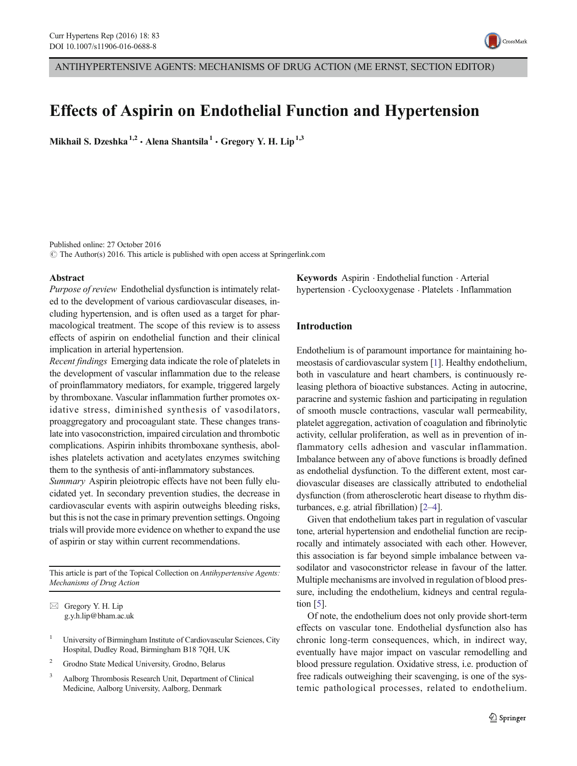

### Effects of Aspirin on Endothelial Function and Hypertension

Mikhail S. Dzeshka<sup>1,2</sup> · Alena Shantsila<sup>1</sup> · Gregory Y. H. Lip<sup>1,3</sup>

Published online: 27 October 2016  $\odot$  The Author(s) 2016. This article is published with open access at Springerlink.com

#### Abstract

Purpose of review Endothelial dysfunction is intimately related to the development of various cardiovascular diseases, including hypertension, and is often used as a target for pharmacological treatment. The scope of this review is to assess effects of aspirin on endothelial function and their clinical implication in arterial hypertension.

Recent findings Emerging data indicate the role of platelets in the development of vascular inflammation due to the release of proinflammatory mediators, for example, triggered largely by thromboxane. Vascular inflammation further promotes oxidative stress, diminished synthesis of vasodilators, proaggregatory and procoagulant state. These changes translate into vasoconstriction, impaired circulation and thrombotic complications. Aspirin inhibits thromboxane synthesis, abolishes platelets activation and acetylates enzymes switching them to the synthesis of anti-inflammatory substances.

Summary Aspirin pleiotropic effects have not been fully elucidated yet. In secondary prevention studies, the decrease in cardiovascular events with aspirin outweighs bleeding risks, but this is not the case in primary prevention settings. Ongoing trials will provide more evidence on whether to expand the use of aspirin or stay within current recommendations.

This article is part of the Topical Collection on Antihypertensive Agents: Mechanisms of Drug Action

 $\boxtimes$  Gregory Y. H. Lip g.y.h.lip@bham.ac.uk

- <sup>1</sup> University of Birmingham Institute of Cardiovascular Sciences, City Hospital, Dudley Road, Birmingham B18 7QH, UK
- <sup>2</sup> Grodno State Medical University, Grodno, Belarus
- <sup>3</sup> Aalborg Thrombosis Research Unit, Department of Clinical Medicine, Aalborg University, Aalborg, Denmark

Keywords Aspirin . Endothelial function . Arterial hypertension . Cyclooxygenase . Platelets . Inflammation

#### Introduction

Endothelium is of paramount importance for maintaining homeostasis of cardiovascular system [\[1](#page-9-0)]. Healthy endothelium, both in vasculature and heart chambers, is continuously releasing plethora of bioactive substances. Acting in autocrine, paracrine and systemic fashion and participating in regulation of smooth muscle contractions, vascular wall permeability, platelet aggregation, activation of coagulation and fibrinolytic activity, cellular proliferation, as well as in prevention of inflammatory cells adhesion and vascular inflammation. Imbalance between any of above functions is broadly defined as endothelial dysfunction. To the different extent, most cardiovascular diseases are classically attributed to endothelial dysfunction (from atherosclerotic heart disease to rhythm disturbances, e.g. atrial fibrillation) [[2](#page-9-0)–[4](#page-9-0)].

Given that endothelium takes part in regulation of vascular tone, arterial hypertension and endothelial function are reciprocally and intimately associated with each other. However, this association is far beyond simple imbalance between vasodilator and vasoconstrictor release in favour of the latter. Multiple mechanisms are involved in regulation of blood pressure, including the endothelium, kidneys and central regulation  $\lceil 5 \rceil$ .

Of note, the endothelium does not only provide short-term effects on vascular tone. Endothelial dysfunction also has chronic long-term consequences, which, in indirect way, eventually have major impact on vascular remodelling and blood pressure regulation. Oxidative stress, i.e. production of free radicals outweighing their scavenging, is one of the systemic pathological processes, related to endothelium.

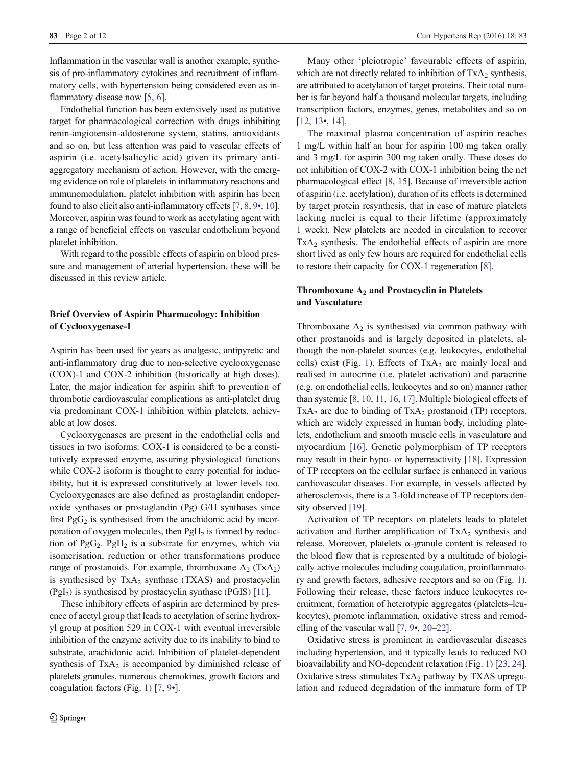Inflammation in the vascular wall is another example, synthesis of pro-inflammatory cytokines and recruitment of inflammatory cells, with hypertension being considered even as inflammatory disease now [[5,](#page-9-0) [6\]](#page-9-0).

Endothelial function has been extensively used as putative target for pharmacological correction with drugs inhibiting renin-angiotensin-aldosterone system, statins, antioxidants and so on, but less attention was paid to vascular effects of aspirin (i.e. acetylsalicylic acid) given its primary antiaggregatory mechanism of action. However, with the emerging evidence on role of platelets in inflammatory reactions and immunomodulation, platelet inhibition with aspirin has been found to also elicit also anti-inflammatory effects [[7,](#page-9-0) [8,](#page-9-0) [9](#page-9-0)•, [10\]](#page-9-0). Moreover, aspirin was found to work as acetylating agent with a range of beneficial effects on vascular endothelium beyond platelet inhibition.

With regard to the possible effects of aspirin on blood pressure and management of arterial hypertension, these will be discussed in this review article.

#### Brief Overview of Aspirin Pharmacology: Inhibition of Cyclooxygenase-1

Aspirin has been used for years as analgesic, antipyretic and anti-inflammatory drug due to non-selective cyclooxygenase (COX)-1 and COX-2 inhibition (historically at high doses). Later, the major indication for aspirin shift to prevention of thrombotic cardiovascular complications as anti-platelet drug via predominant COX-1 inhibition within platelets, achievable at low doses.

Cyclooxygenases are present in the endothelial cells and tissues in two isoforms: COX-1 is considered to be a constitutively expressed enzyme, assuring physiological functions while COX-2 isoform is thought to carry potential for inducibility, but it is expressed constitutively at lower levels too. Cyclooxygenases are also defined as prostaglandin endoperoxide synthases or prostaglandin (Pg) G/H synthases since first  $PgG<sub>2</sub>$  is synthesised from the arachidonic acid by incorporation of oxygen molecules, then  $PgH<sub>2</sub>$  is formed by reduction of PgG<sub>2</sub>. PgH<sub>2</sub> is a substrate for enzymes, which via isomerisation, reduction or other transformations produce range of prostanoids. For example, thromboxane  $A_2$  (Tx $A_2$ ) is synthesised by  $TxA_2$  synthase  $(TXAS)$  and prostacyclin  $(Pgl<sub>2</sub>)$  is synthesised by prostacyclin synthase (PGIS) [[11](#page-9-0)].

These inhibitory effects of aspirin are determined by presence of acetyl group that leads to acetylation of serine hydroxyl group at position 529 in COX-1 with eventual irreversible inhibition of the enzyme activity due to its inability to bind to substrate, arachidonic acid. Inhibition of platelet-dependent synthesis of  $TxA_2$  is accompanied by diminished release of platelets granules, numerous chemokines, growth factors and coagulation factors (Fig. [1\)](#page-3-0) [\[7](#page-9-0), [9](#page-9-0)•].

Many other 'pleiotropic' favourable effects of aspirin, which are not directly related to inhibition of  $TxA_2$  synthesis, are attributed to acetylation of target proteins. Their total number is far beyond half a thousand molecular targets, including transcription factors, enzymes, genes, metabolites and so on [\[12](#page-9-0), [13](#page-9-0)•, [14](#page-9-0)].

The maximal plasma concentration of aspirin reaches 1 mg/L within half an hour for aspirin 100 mg taken orally and 3 mg/L for aspirin 300 mg taken orally. These doses do not inhibition of COX-2 with COX-1 inhibition being the net pharmacological effect [[8](#page-9-0), [15](#page-9-0)]. Because of irreversible action of aspirin (i.e. acetylation), duration of its effects is determined by target protein resynthesis, that in case of mature platelets lacking nuclei is equal to their lifetime (approximately 1 week). New platelets are needed in circulation to recover  $TxA<sub>2</sub>$  synthesis. The endothelial effects of aspirin are more short lived as only few hours are required for endothelial cells to restore their capacity for COX-1 regeneration [\[8](#page-9-0)].

#### Thromboxane  $A_2$  and Prostacyclin in Platelets and Vasculature

Thromboxane  $A_2$  is synthesised via common pathway with other prostanoids and is largely deposited in platelets, although the non-platelet sources (e.g. leukocytes, endothelial cells) exist (Fig. [1](#page-3-0)). Effects of  $TxA_2$  are mainly local and realised in autocrine (i.e. platelet activation) and paracrine (e.g. on endothelial cells, leukocytes and so on) manner rather than systemic [[8,](#page-9-0) [10,](#page-9-0) [11,](#page-9-0) [16](#page-9-0), [17](#page-9-0)]. Multiple biological effects of  $TxA<sub>2</sub>$  are due to binding of  $TxA<sub>2</sub>$  prostanoid (TP) receptors, which are widely expressed in human body, including platelets, endothelium and smooth muscle cells in vasculature and myocardium [[16\]](#page-9-0). Genetic polymorphism of TP receptors may result in their hypo- or hyperreactivity [[18\]](#page-9-0). Expression of TP receptors on the cellular surface is enhanced in various cardiovascular diseases. For example, in vessels affected by atherosclerosis, there is a 3-fold increase of TP receptors den-sity observed [\[19](#page-9-0)].

Activation of TP receptors on platelets leads to platelet activation and further amplification of  $TxA_2$  synthesis and release. Moreover, platelets  $\alpha$ -granule content is released to the blood flow that is represented by a multitude of biologically active molecules including coagulation, proinflammatory and growth factors, adhesive receptors and so on (Fig. [1\)](#page-3-0). Following their release, these factors induce leukocytes recruitment, formation of heterotypic aggregates (platelets–leukocytes), promote inflammation, oxidative stress and remodelling of the vascular wall [\[7,](#page-9-0) [9](#page-9-0)•, [20](#page-9-0)–[22\]](#page-9-0).

Oxidative stress is prominent in cardiovascular diseases including hypertension, and it typically leads to reduced NO bioavailability and NO-dependent relaxation (Fig. [1\)](#page-3-0) [\[23](#page-9-0), [24\]](#page-9-0). Oxidative stress stimulates  $TxA_2$  pathway by TXAS upregulation and reduced degradation of the immature form of TP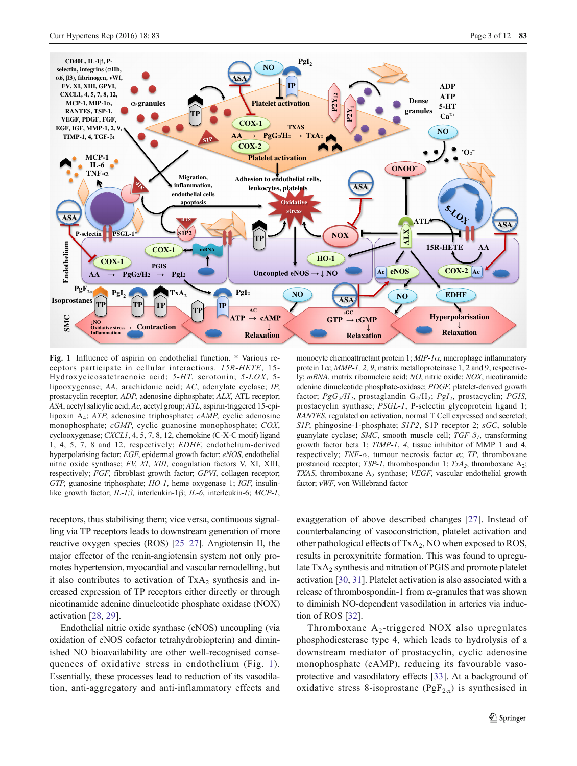<span id="page-3-0"></span>

Fig. 1 Influence of aspirin on endothelial function. \* Various receptors participate in cellular interactions. 15R-HETE, 15- Hydroxyeicosatetraenoic acid; 5-HT, serotonin; 5-LOX, 5 lipooxygenase; AA, arachidonic acid; AC, adenylate cyclase; IP, prostacyclin receptor; ADP, adenosine diphosphate; ALX, ATL receptor; ASA, acetyl salicylic acid; Ac, acetyl group; ATL, aspirin-triggered 15-epilipoxin A4; ATP, adenosine triphosphate; cAMP, cyclic adenosine monophosphate; cGMP, cyclic guanosine monophosphate; COX, cyclooxygenase; CXCL1, 4, 5, 7, 8, 12, chemokine (C-X-C motif) ligand 1, 4, 5, 7, 8 and 12, respectively; EDHF, endothelium-derived hyperpolarising factor; EGF, epidermal growth factor; eNOS, endothelial nitric oxide synthase; FV, XI, XIII, coagulation factors V, XI, XIII, respectively; FGF, fibroblast growth factor; GPVI, collagen receptor; GTP, guanosine triphosphate; HO-1, heme oxygenase 1; IGF, insulinlike growth factor; IL-1β, interleukin-1β; IL-6, interleukin-6; MCP-1,

receptors, thus stabilising them; vice versa, continuous signalling via TP receptors leads to downstream generation of more reactive oxygen species (ROS) [[25](#page-9-0)–[27](#page-9-0)]. Angiotensin II, the major effector of the renin-angiotensin system not only promotes hypertension, myocardial and vascular remodelling, but it also contributes to activation of  $TxA_2$  synthesis and increased expression of TP receptors either directly or through nicotinamide adenine dinucleotide phosphate oxidase (NOX) activation [[28](#page-9-0), [29](#page-9-0)].

Endothelial nitric oxide synthase (eNOS) uncoupling (via oxidation of eNOS cofactor tetrahydrobiopterin) and diminished NO bioavailability are other well-recognised consequences of oxidative stress in endothelium (Fig. 1). Essentially, these processes lead to reduction of its vasodilation, anti-aggregatory and anti-inflammatory effects and

monocyte chemoattractant protein 1;  $MIP-1\alpha$ , macrophage inflammatory protein  $1\alpha$ ; *MMP-1*, 2, 9, matrix metalloproteinase 1, 2 and 9, respectively; mRNA, matrix ribonucleic acid; NO, nitric oxide; NOX, nicotinamide adenine dinucleotide phosphate-oxidase; PDGF, platelet-derived growth factor;  $PgG_2/H_2$ , prostaglandin  $G_2/H_2$ ;  $PgI_2$ , prostacyclin; PGIS, prostacyclin synthase; PSGL-1, P-selectin glycoprotein ligand 1; RANTES, regulated on activation, normal T Cell expressed and secreted; S1P, phingosine-1-phosphate; S1P2, S1P receptor 2; sGC, soluble guanylate cyclase; SMC, smooth muscle cell;  $TGF-\beta_1$ , transforming growth factor beta 1; TIMP-1, 4, tissue inhibitor of MMP 1 and 4, respectively;  $TNF-\alpha$ , tumour necrosis factor  $\alpha$ ; TP, thromboxane prostanoid receptor;  $TSP-I$ , thrombospondin 1;  $TxA_2$ , thromboxane  $A_2$ ; TXAS, thromboxane  $A_2$  synthase; VEGF, vascular endothelial growth factor; vWF, von Willebrand factor

exaggeration of above described changes [\[27\]](#page-9-0). Instead of counterbalancing of vasoconstriction, platelet activation and other pathological effects of TxA<sub>2</sub>, NO when exposed to ROS, results in peroxynitrite formation. This was found to upregulate TxA<sub>2</sub> synthesis and nitration of PGIS and promote platelet activation [\[30](#page-10-0), [31\]](#page-10-0). Platelet activation is also associated with a release of thrombospondin-1 from  $\alpha$ -granules that was shown to diminish NO-dependent vasodilation in arteries via induction of ROS [\[32](#page-10-0)].

Thromboxane  $A_2$ -triggered NOX also upregulates phosphodiesterase type 4, which leads to hydrolysis of a downstream mediator of prostacyclin, cyclic adenosine monophosphate (cAMP), reducing its favourable vasoprotective and vasodilatory effects [[33\]](#page-10-0). At a background of oxidative stress 8-isoprostane ( $PgF_{2\alpha}$ ) is synthesised in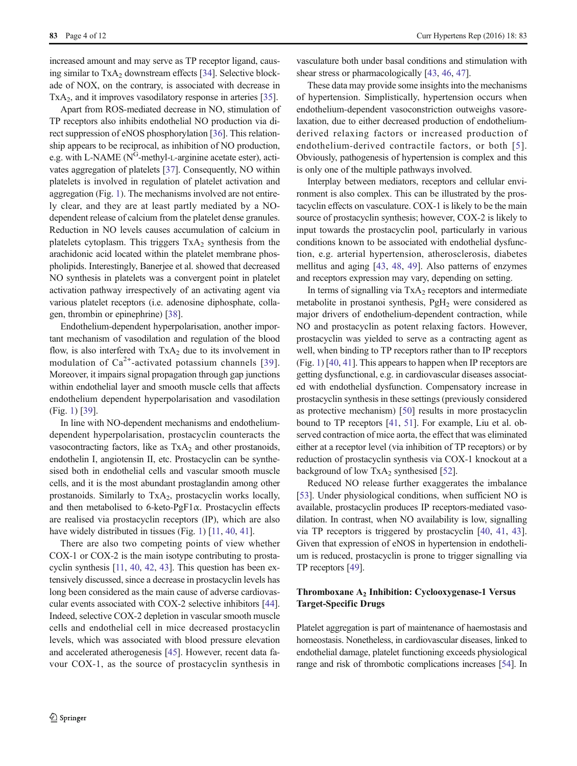increased amount and may serve as TP receptor ligand, causing similar to  $TxA_2$  downstream effects [\[34\]](#page-10-0). Selective blockade of NOX, on the contrary, is associated with decrease in  $TxA<sub>2</sub>$ , and it improves vasodilatory response in arteries [[35\]](#page-10-0).

Apart from ROS-mediated decrease in NO, stimulation of TP receptors also inhibits endothelial NO production via direct suppression of eNOS phosphorylation [[36\]](#page-10-0). This relationship appears to be reciprocal, as inhibition of NO production, e.g. with L-NAME ( $N^G$ -methyl-L-arginine acetate ester), activates aggregation of platelets [\[37\]](#page-10-0). Consequently, NO within platelets is involved in regulation of platelet activation and aggregation (Fig. [1](#page-3-0)). The mechanisms involved are not entirely clear, and they are at least partly mediated by a NOdependent release of calcium from the platelet dense granules. Reduction in NO levels causes accumulation of calcium in platelets cytoplasm. This triggers  $TxA_2$  synthesis from the arachidonic acid located within the platelet membrane phospholipids. Interestingly, Banerjee et al. showed that decreased NO synthesis in platelets was a convergent point in platelet activation pathway irrespectively of an activating agent via various platelet receptors (i.e. adenosine diphosphate, collagen, thrombin or epinephrine) [[38](#page-10-0)].

Endothelium-dependent hyperpolarisation, another important mechanism of vasodilation and regulation of the blood flow, is also interfered with  $TxA_2$  due to its involvement in modulation of  $Ca^{2+}$ -activated potassium channels [[39](#page-10-0)]. Moreover, it impairs signal propagation through gap junctions within endothelial layer and smooth muscle cells that affects endothelium dependent hyperpolarisation and vasodilation (Fig. [1](#page-3-0)) [\[39\]](#page-10-0).

In line with NO-dependent mechanisms and endotheliumdependent hyperpolarisation, prostacyclin counteracts the vasocontracting factors, like as  $TxA_2$  and other prostanoids, endothelin I, angiotensin II, etc. Prostacyclin can be synthesised both in endothelial cells and vascular smooth muscle cells, and it is the most abundant prostaglandin among other prostanoids. Similarly to  $TxA_2$ , prostacyclin works locally, and then metabolised to 6-keto-PgF1 $\alpha$ . Prostacyclin effects are realised via prostacyclin receptors (IP), which are also have widely distributed in tissues (Fig. [1](#page-3-0)) [\[11,](#page-9-0) [40,](#page-10-0) [41](#page-10-0)].

There are also two competing points of view whether COX-1 or COX-2 is the main isotype contributing to prostacyclin synthesis [\[11,](#page-9-0) [40,](#page-10-0) [42](#page-10-0), [43\]](#page-10-0). This question has been extensively discussed, since a decrease in prostacyclin levels has long been considered as the main cause of adverse cardiovascular events associated with COX-2 selective inhibitors [[44\]](#page-10-0). Indeed, selective COX-2 depletion in vascular smooth muscle cells and endothelial cell in mice decreased prostacyclin levels, which was associated with blood pressure elevation and accelerated atherogenesis [\[45](#page-10-0)]. However, recent data favour COX-1, as the source of prostacyclin synthesis in

vasculature both under basal conditions and stimulation with shear stress or pharmacologically [\[43](#page-10-0), [46](#page-10-0), [47\]](#page-10-0).

These data may provide some insights into the mechanisms of hypertension. Simplistically, hypertension occurs when endothelium-dependent vasoconstriction outweighs vasorelaxation, due to either decreased production of endotheliumderived relaxing factors or increased production of endothelium-derived contractile factors, or both [[5\]](#page-9-0). Obviously, pathogenesis of hypertension is complex and this is only one of the multiple pathways involved.

Interplay between mediators, receptors and cellular environment is also complex. This can be illustrated by the prostacyclin effects on vasculature. COX-1 is likely to be the main source of prostacyclin synthesis; however, COX-2 is likely to input towards the prostacyclin pool, particularly in various conditions known to be associated with endothelial dysfunction, e.g. arterial hypertension, atherosclerosis, diabetes mellitus and aging [[43,](#page-10-0) [48,](#page-10-0) [49\]](#page-10-0). Also patterns of enzymes and receptors expression may vary, depending on setting.

In terms of signalling via  $TxA_2$  receptors and intermediate metabolite in prostanoi synthesis, PgH<sub>2</sub> were considered as major drivers of endothelium-dependent contraction, while NO and prostacyclin as potent relaxing factors. However, prostacyclin was yielded to serve as a contracting agent as well, when binding to TP receptors rather than to IP receptors (Fig. [1](#page-3-0)) [[40,](#page-10-0) [41\]](#page-10-0). This appears to happen when IP receptors are getting dysfunctional, e.g. in cardiovascular diseases associated with endothelial dysfunction. Compensatory increase in prostacyclin synthesis in these settings (previously considered as protective mechanism) [\[50](#page-10-0)] results in more prostacyclin bound to TP receptors [\[41](#page-10-0), [51\]](#page-10-0). For example, Liu et al. observed contraction of mice aorta, the effect that was eliminated either at a receptor level (via inhibition of TP receptors) or by reduction of prostacyclin synthesis via COX-1 knockout at a background of low  $TxA_2$  synthesised [\[52](#page-10-0)].

Reduced NO release further exaggerates the imbalance [\[53](#page-10-0)]. Under physiological conditions, when sufficient NO is available, prostacyclin produces IP receptors-mediated vasodilation. In contrast, when NO availability is low, signalling via TP receptors is triggered by prostacyclin [[40,](#page-10-0) [41](#page-10-0), [43\]](#page-10-0). Given that expression of eNOS in hypertension in endothelium is reduced, prostacyclin is prone to trigger signalling via TP receptors [\[49\]](#page-10-0).

#### Thromboxane A<sub>2</sub> Inhibition: Cyclooxygenase-1 Versus Target-Specific Drugs

Platelet aggregation is part of maintenance of haemostasis and homeostasis. Nonetheless, in cardiovascular diseases, linked to endothelial damage, platelet functioning exceeds physiological range and risk of thrombotic complications increases [\[54\]](#page-10-0). In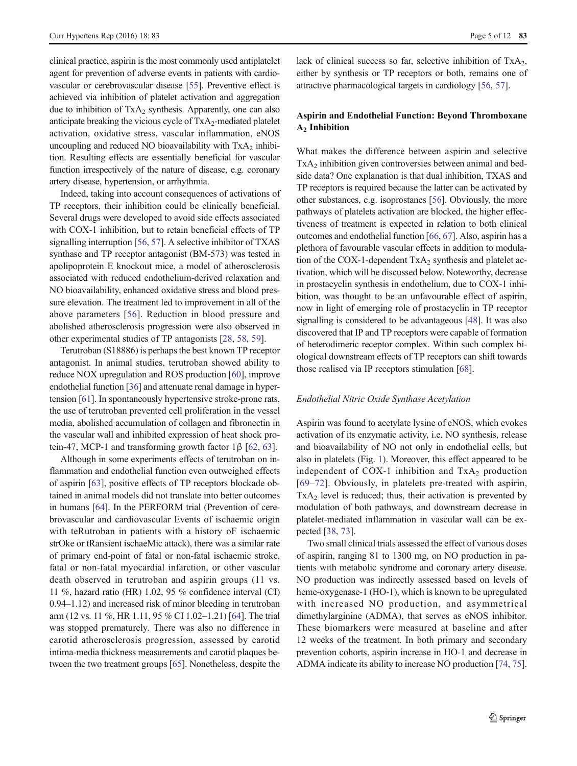clinical practice, aspirin is the most commonly used antiplatelet agent for prevention of adverse events in patients with cardiovascular or cerebrovascular disease [\[55\]](#page-10-0). Preventive effect is achieved via inhibition of platelet activation and aggregation due to inhibition of  $TxA_2$  synthesis. Apparently, one can also anticipate breaking the vicious cycle of  $TxA_2$ -mediated platelet activation, oxidative stress, vascular inflammation, eNOS uncoupling and reduced NO bioavailability with  $TxA_2$  inhibition. Resulting effects are essentially beneficial for vascular function irrespectively of the nature of disease, e.g. coronary artery disease, hypertension, or arrhythmia.

Indeed, taking into account consequences of activations of TP receptors, their inhibition could be clinically beneficial. Several drugs were developed to avoid side effects associated with COX-1 inhibition, but to retain beneficial effects of TP signalling interruption [[56,](#page-10-0) [57\]](#page-10-0). A selective inhibitor of TXAS synthase and TP receptor antagonist (BM-573) was tested in apolipoprotein E knockout mice, a model of atherosclerosis associated with reduced endothelium-derived relaxation and NO bioavailability, enhanced oxidative stress and blood pressure elevation. The treatment led to improvement in all of the above parameters [\[56\]](#page-10-0). Reduction in blood pressure and abolished atherosclerosis progression were also observed in other experimental studies of TP antagonists [[28,](#page-9-0) [58](#page-10-0), [59](#page-10-0)].

Terutroban (S18886) is perhaps the best known TP receptor antagonist. In animal studies, terutroban showed ability to reduce NOX upregulation and ROS production [\[60\]](#page-10-0), improve endothelial function [\[36\]](#page-10-0) and attenuate renal damage in hypertension [\[61](#page-10-0)]. In spontaneously hypertensive stroke-prone rats, the use of terutroban prevented cell proliferation in the vessel media, abolished accumulation of collagen and fibronectin in the vascular wall and inhibited expression of heat shock protein-47, MCP-1 and transforming growth factor  $1β$  [\[62](#page-10-0), [63\]](#page-10-0).

Although in some experiments effects of terutroban on inflammation and endothelial function even outweighed effects of aspirin [\[63](#page-10-0)], positive effects of TP receptors blockade obtained in animal models did not translate into better outcomes in humans [\[64](#page-10-0)]. In the PERFORM trial (Prevention of cerebrovascular and cardiovascular Events of ischaemic origin with teRutroban in patients with a history oF ischaemic strOke or tRansient ischaeMic attack), there was a similar rate of primary end-point of fatal or non-fatal ischaemic stroke, fatal or non-fatal myocardial infarction, or other vascular death observed in terutroban and aspirin groups (11 vs. 11 %, hazard ratio (HR) 1.02, 95 % confidence interval (CI) 0.94–1.12) and increased risk of minor bleeding in terutroban arm (12 vs. 11 %, HR 1.11, 95 % CI 1.02–1.21) [\[64\]](#page-10-0). The trial was stopped prematurely. There was also no difference in carotid atherosclerosis progression, assessed by carotid intima-media thickness measurements and carotid plaques between the two treatment groups [\[65\]](#page-11-0). Nonetheless, despite the lack of clinical success so far, selective inhibition of  $TxA<sub>2</sub>$ , either by synthesis or TP receptors or both, remains one of attractive pharmacological targets in cardiology [[56,](#page-10-0) [57](#page-10-0)].

#### Aspirin and Endothelial Function: Beyond Thromboxane  $A<sub>2</sub>$  Inhibition

What makes the difference between aspirin and selective  $TxA<sub>2</sub>$  inhibition given controversies between animal and bedside data? One explanation is that dual inhibition, TXAS and TP receptors is required because the latter can be activated by other substances, e.g. isoprostanes [\[56\]](#page-10-0). Obviously, the more pathways of platelets activation are blocked, the higher effectiveness of treatment is expected in relation to both clinical outcomes and endothelial function [\[66,](#page-11-0) [67\]](#page-11-0). Also, aspirin has a plethora of favourable vascular effects in addition to modulation of the COX-1-dependent  $TxA<sub>2</sub>$  synthesis and platelet activation, which will be discussed below. Noteworthy, decrease in prostacyclin synthesis in endothelium, due to COX-1 inhibition, was thought to be an unfavourable effect of aspirin, now in light of emerging role of prostacyclin in TP receptor signalling is considered to be advantageous [\[48](#page-10-0)]. It was also discovered that IP and TP receptors were capable of formation of heterodimeric receptor complex. Within such complex biological downstream effects of TP receptors can shift towards those realised via IP receptors stimulation [\[68](#page-11-0)].

#### Endothelial Nitric Oxide Synthase Acetylation

Aspirin was found to acetylate lysine of eNOS, which evokes activation of its enzymatic activity, i.e. NO synthesis, release and bioavailability of NO not only in endothelial cells, but also in platelets (Fig. [1](#page-3-0)). Moreover, this effect appeared to be independent of COX-1 inhibition and  $TxA_2$  production [\[69](#page-11-0)–[72](#page-11-0)]. Obviously, in platelets pre-treated with aspirin,  $TxA<sub>2</sub>$  level is reduced; thus, their activation is prevented by modulation of both pathways, and downstream decrease in platelet-mediated inflammation in vascular wall can be expected [\[38,](#page-10-0) [73\]](#page-11-0).

Two small clinical trials assessed the effect of various doses of aspirin, ranging 81 to 1300 mg, on NO production in patients with metabolic syndrome and coronary artery disease. NO production was indirectly assessed based on levels of heme-oxygenase-1 (HO-1), which is known to be upregulated with increased NO production, and asymmetrical dimethylarginine (ADMA), that serves as eNOS inhibitor. These biomarkers were measured at baseline and after 12 weeks of the treatment. In both primary and secondary prevention cohorts, aspirin increase in HO-1 and decrease in ADMA indicate its ability to increase NO production [[74](#page-11-0), [75\]](#page-11-0).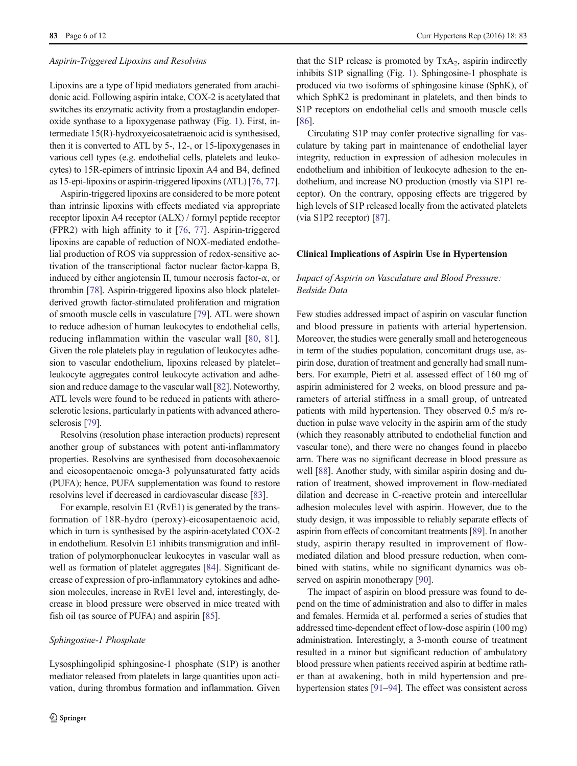#### Aspirin-Triggered Lipoxins and Resolvins

Lipoxins are a type of lipid mediators generated from arachidonic acid. Following aspirin intake, COX-2 is acetylated that switches its enzymatic activity from a prostaglandin endoperoxide synthase to a lipoxygenase pathway (Fig. [1\)](#page-3-0). First, intermediate 15(R)-hydroxyeicosatetraenoic acid is synthesised, then it is converted to ATL by 5-, 12-, or 15-lipoxygenases in various cell types (e.g. endothelial cells, platelets and leukocytes) to 15R-epimers of intrinsic lipoxin A4 and B4, defined as 15-epi-lipoxins or aspirin-triggered lipoxins (ATL) [[76](#page-11-0), [77\]](#page-11-0).

Aspirin-triggered lipoxins are considered to be more potent than intrinsic lipoxins with effects mediated via appropriate receptor lipoxin A4 receptor (ALX) / formyl peptide receptor (FPR2) with high affinity to it [\[76](#page-11-0), [77\]](#page-11-0). Aspirin-triggered lipoxins are capable of reduction of NOX-mediated endothelial production of ROS via suppression of redox-sensitive activation of the transcriptional factor nuclear factor-kappa B, induced by either angiotensin II, tumour necrosis factor- $\alpha$ , or thrombin [[78](#page-11-0)]. Aspirin-triggered lipoxins also block plateletderived growth factor-stimulated proliferation and migration of smooth muscle cells in vasculature [\[79](#page-11-0)]. ATL were shown to reduce adhesion of human leukocytes to endothelial cells, reducing inflammation within the vascular wall [\[80,](#page-11-0) [81](#page-11-0)]. Given the role platelets play in regulation of leukocytes adhesion to vascular endothelium, lipoxins released by platelet– leukocyte aggregates control leukocyte activation and adhesion and reduce damage to the vascular wall [[82](#page-11-0)]. Noteworthy, ATL levels were found to be reduced in patients with atherosclerotic lesions, particularly in patients with advanced atherosclerosis [[79\]](#page-11-0).

Resolvins (resolution phase interaction products) represent another group of substances with potent anti-inflammatory properties. Resolvins are synthesised from docosohexaenoic and eicosopentaenoic omega-3 polyunsaturated fatty acids (PUFA); hence, PUFA supplementation was found to restore resolvins level if decreased in cardiovascular disease [\[83](#page-11-0)].

For example, resolvin E1 (RvE1) is generated by the transformation of 18R-hydro (peroxy)-eicosapentaenoic acid, which in turn is synthesised by the aspirin-acetylated COX-2 in endothelium. Resolvin E1 inhibits transmigration and infiltration of polymorphonuclear leukocytes in vascular wall as well as formation of platelet aggregates [\[84\]](#page-11-0). Significant decrease of expression of pro-inflammatory cytokines and adhesion molecules, increase in RvE1 level and, interestingly, decrease in blood pressure were observed in mice treated with fish oil (as source of PUFA) and aspirin [\[85\]](#page-11-0).

#### Sphingosine-1 Phosphate

Lysosphingolipid sphingosine-1 phosphate (S1P) is another mediator released from platelets in large quantities upon activation, during thrombus formation and inflammation. Given that the S1P release is promoted by  $TxA_2$ , aspirin indirectly inhibits S1P signalling (Fig. [1](#page-3-0)). Sphingosine-1 phosphate is produced via two isoforms of sphingosine kinase (SphK), of which SphK2 is predominant in platelets, and then binds to S1P receptors on endothelial cells and smooth muscle cells [\[86](#page-11-0)].

Circulating S1P may confer protective signalling for vasculature by taking part in maintenance of endothelial layer integrity, reduction in expression of adhesion molecules in endothelium and inhibition of leukocyte adhesion to the endothelium, and increase NO production (mostly via S1P1 receptor). On the contrary, opposing effects are triggered by high levels of S1P released locally from the activated platelets (via S1P2 receptor) [\[87](#page-11-0)].

#### Clinical Implications of Aspirin Use in Hypertension

#### Impact of Aspirin on Vasculature and Blood Pressure: Bedside Data

Few studies addressed impact of aspirin on vascular function and blood pressure in patients with arterial hypertension. Moreover, the studies were generally small and heterogeneous in term of the studies population, concomitant drugs use, aspirin dose, duration of treatment and generally had small numbers. For example, Pietri et al. assessed effect of 160 mg of aspirin administered for 2 weeks, on blood pressure and parameters of arterial stiffness in a small group, of untreated patients with mild hypertension. They observed 0.5 m/s reduction in pulse wave velocity in the aspirin arm of the study (which they reasonably attributed to endothelial function and vascular tone), and there were no changes found in placebo arm. There was no significant decrease in blood pressure as well [[88](#page-11-0)]. Another study, with similar aspirin dosing and duration of treatment, showed improvement in flow-mediated dilation and decrease in C-reactive protein and intercellular adhesion molecules level with aspirin. However, due to the study design, it was impossible to reliably separate effects of aspirin from effects of concomitant treatments [[89](#page-11-0)]. In another study, aspirin therapy resulted in improvement of flowmediated dilation and blood pressure reduction, when combined with statins, while no significant dynamics was ob-served on aspirin monotherapy [\[90](#page-11-0)].

The impact of aspirin on blood pressure was found to depend on the time of administration and also to differ in males and females. Hermida et al. performed a series of studies that addressed time-dependent effect of low-dose aspirin (100 mg) administration. Interestingly, a 3-month course of treatment resulted in a minor but significant reduction of ambulatory blood pressure when patients received aspirin at bedtime rather than at awakening, both in mild hypertension and prehypertension states [\[91](#page-11-0)–[94](#page-11-0)]. The effect was consistent across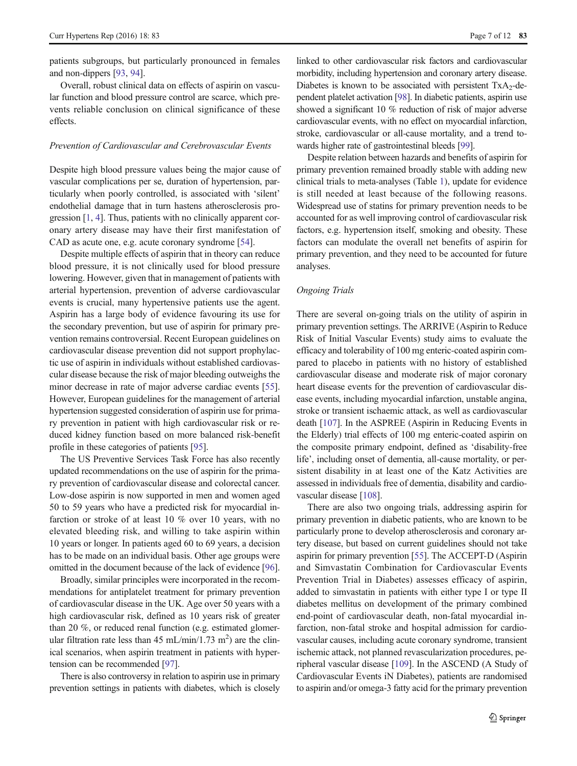patients subgroups, but particularly pronounced in females and non-dippers [[93,](#page-11-0) [94](#page-11-0)].

Overall, robust clinical data on effects of aspirin on vascular function and blood pressure control are scarce, which prevents reliable conclusion on clinical significance of these effects.

#### Prevention of Cardiovascular and Cerebrovascular Events

Despite high blood pressure values being the major cause of vascular complications per se, duration of hypertension, particularly when poorly controlled, is associated with 'silent' endothelial damage that in turn hastens atherosclerosis progression [[1,](#page-9-0) [4](#page-9-0)]. Thus, patients with no clinically apparent coronary artery disease may have their first manifestation of CAD as acute one, e.g. acute coronary syndrome [\[54\]](#page-10-0).

Despite multiple effects of aspirin that in theory can reduce blood pressure, it is not clinically used for blood pressure lowering. However, given that in management of patients with arterial hypertension, prevention of adverse cardiovascular events is crucial, many hypertensive patients use the agent. Aspirin has a large body of evidence favouring its use for the secondary prevention, but use of aspirin for primary prevention remains controversial. Recent European guidelines on cardiovascular disease prevention did not support prophylactic use of aspirin in individuals without established cardiovascular disease because the risk of major bleeding outweighs the minor decrease in rate of major adverse cardiac events [[55\]](#page-10-0). However, European guidelines for the management of arterial hypertension suggested consideration of aspirin use for primary prevention in patient with high cardiovascular risk or reduced kidney function based on more balanced risk-benefit profile in these categories of patients [[95\]](#page-11-0).

The US Preventive Services Task Force has also recently updated recommendations on the use of aspirin for the primary prevention of cardiovascular disease and colorectal cancer. Low-dose aspirin is now supported in men and women aged 50 to 59 years who have a predicted risk for myocardial infarction or stroke of at least 10 % over 10 years, with no elevated bleeding risk, and willing to take aspirin within 10 years or longer. In patients aged 60 to 69 years, a decision has to be made on an individual basis. Other age groups were omitted in the document because of the lack of evidence [[96\]](#page-11-0).

Broadly, similar principles were incorporated in the recommendations for antiplatelet treatment for primary prevention of cardiovascular disease in the UK. Age over 50 years with a high cardiovascular risk, defined as 10 years risk of greater than 20 %, or reduced renal function (e.g. estimated glomerular filtration rate less than 45 mL/min/1.73 m<sup>2</sup>) are the clinical scenarios, when aspirin treatment in patients with hypertension can be recommended [\[97](#page-11-0)].

There is also controversy in relation to aspirin use in primary prevention settings in patients with diabetes, which is closely

linked to other cardiovascular risk factors and cardiovascular morbidity, including hypertension and coronary artery disease. Diabetes is known to be associated with persistent  $TxA_2-de$ pendent platelet activation [[98](#page-12-0)]. In diabetic patients, aspirin use showed a significant 10 % reduction of risk of major adverse cardiovascular events, with no effect on myocardial infarction, stroke, cardiovascular or all-cause mortality, and a trend towards higher rate of gastrointestinal bleeds [[99](#page-12-0)].

Despite relation between hazards and benefits of aspirin for primary prevention remained broadly stable with adding new clinical trials to meta-analyses (Table [1\)](#page-8-0), update for evidence is still needed at least because of the following reasons. Widespread use of statins for primary prevention needs to be accounted for as well improving control of cardiovascular risk factors, e.g. hypertension itself, smoking and obesity. These factors can modulate the overall net benefits of aspirin for primary prevention, and they need to be accounted for future analyses.

#### Ongoing Trials

There are several on-going trials on the utility of aspirin in primary prevention settings. The ARRIVE (Aspirin to Reduce Risk of Initial Vascular Events) study aims to evaluate the efficacy and tolerability of 100 mg enteric-coated aspirin compared to placebo in patients with no history of established cardiovascular disease and moderate risk of major coronary heart disease events for the prevention of cardiovascular disease events, including myocardial infarction, unstable angina, stroke or transient ischaemic attack, as well as cardiovascular death [\[107\]](#page-12-0). In the ASPREE (Aspirin in Reducing Events in the Elderly) trial effects of 100 mg enteric-coated aspirin on the composite primary endpoint, defined as 'disability-free life', including onset of dementia, all-cause mortality, or persistent disability in at least one of the Katz Activities are assessed in individuals free of dementia, disability and cardiovascular disease [[108](#page-12-0)].

There are also two ongoing trials, addressing aspirin for primary prevention in diabetic patients, who are known to be particularly prone to develop atherosclerosis and coronary artery disease, but based on current guidelines should not take aspirin for primary prevention [[55\]](#page-10-0). The ACCEPT-D (Aspirin and Simvastatin Combination for Cardiovascular Events Prevention Trial in Diabetes) assesses efficacy of aspirin, added to simvastatin in patients with either type I or type II diabetes mellitus on development of the primary combined end-point of cardiovascular death, non-fatal myocardial infarction, non-fatal stroke and hospital admission for cardiovascular causes, including acute coronary syndrome, transient ischemic attack, not planned revascularization procedures, peripheral vascular disease [\[109\]](#page-12-0). In the ASCEND (A Study of Cardiovascular Events iN Diabetes), patients are randomised to aspirin and/or omega-3 fatty acid for the primary prevention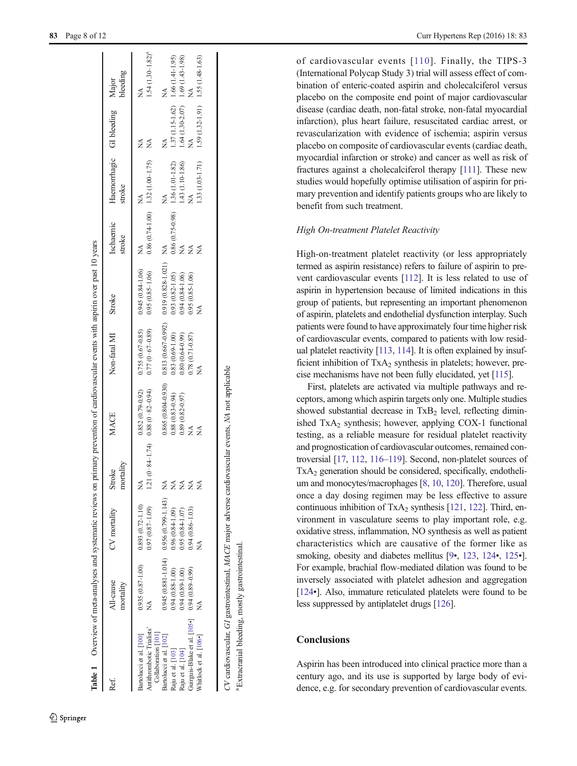<span id="page-8-0"></span>

| Ref.                                                                                                                                                                                                                        | All-cause<br>mortality                     | CV mortality                                                                                                                                                                   | mortality<br>Stroke                                                  | <b>MACE</b>                                                                                                                  | Non-fatal MI<br>Stroke                                                                                                                                                                         |                                                                                         | Ischaemic<br>stroke                     | Haemorrhagic GI bleeding Major<br>stroke                                                     |                                                                                                                                                 |                                                                        |
|-----------------------------------------------------------------------------------------------------------------------------------------------------------------------------------------------------------------------------|--------------------------------------------|--------------------------------------------------------------------------------------------------------------------------------------------------------------------------------|----------------------------------------------------------------------|------------------------------------------------------------------------------------------------------------------------------|------------------------------------------------------------------------------------------------------------------------------------------------------------------------------------------------|-----------------------------------------------------------------------------------------|-----------------------------------------|----------------------------------------------------------------------------------------------|-------------------------------------------------------------------------------------------------------------------------------------------------|------------------------------------------------------------------------|
| Guirguis-Blake et al. [105•] 0.94 (0.89-0.99)<br>Antithrombotic Trialists'<br>Collaboration [101]<br>Whitlock et al. [106.]<br>Bartolucci et al. [100]<br>Bartolucci et al. [102]<br>Raju et al. [103]<br>Raju et al. [104] | $0.94(0.88 - 1.00)$<br>$0.94(0.89 - 1.00)$ | $0.945(0.881 - 1.014)$ 0.956 (0.799-1.143) NA<br>$0.935(0.87-1.00)$ $0.893(0.72-1.10)$<br>$0.97(0.87 - 1.09)$<br>$0.94(0.86 - 1.03)$<br>$0.96(0.84-1.09)$<br>$0.95(0.84-1.07)$ | Ź<br>$\overline{121}$<br>₹<br>Z<br>$\breve{\ge}$<br>₹<br>Z<br>₹<br>Z | $0.852(0.79 - 0.92)$<br>$(0.87 - 0.88)$ $(0.88)$ $(0.88)$ $(0.82 - 0.94)$<br>$0.88(0.83 - 0.94)$<br>$0.89(0.82 - 0.97)$<br>≸ | $0.865(0.804-0.930)$ $0.813(0.667-0.992)$ $0.919(0.828-1.021)$ NA<br>$0.755(0.67-0.85)$ $0.945(0.84-1.06)$<br>$0.77(0.67-0.89)$<br>$0.83(0.69-1.00)$<br>$0.78(0.71-0.87)$<br>$0.80(0.64-0.99)$ | $0.95(0.85-1.06)$<br>$0.93(0.82 - 1.05)$<br>$0.94(0.84-1.06)$<br>$0.95(0.85-1.06)$<br>≸ | $0.86(0.74-1.00)$ 1.32 (1.00-1.75)<br>Ź | $0.86(0.75-0.98)$ 1.36 (1.01-1.82)<br>NA 1.43 (1.10-1.86)<br>1.33 (1.03-1.71)<br>Ź<br>Ź<br>≸ | $1.37$ (1.15-1.62) 1.66 (1.41-1.95)<br>1.64 (1.30-2.07) 1.69 (1.43-1.98)<br>$1.59$ (1.32-1.91) $1.55$ (1.48-1.63)<br>$\tilde{z}$<br>z<br>Ź<br>Ź | $1.54$ (1.30-1.82) <sup>a</sup><br>$\mathbb{A}^{\mathbb{A}}$<br>≸<br>≸ |
| $CV$ cardiovascular, GI gastrointestinal, $MACE$ major adverse cardiovascular events, NA not applicable                                                                                                                     |                                            |                                                                                                                                                                                |                                                                      |                                                                                                                              |                                                                                                                                                                                                |                                                                                         |                                         |                                                                                              |                                                                                                                                                 |                                                                        |

CV cardiovascular, GI gastrointestinal,  $MACE$  major adverse cardiovascular events, NA not applicable

Extracranial bleeding, mostly gastrointestinal Extracranial bleeding, mostly gastrointestinal.

**Table 1** Overview of meta-analyses and systematic reviews on primary prevention of cardiovascular events with aspirin over past 10 years

Overview of meta-analyses and systematic reviews on primary prevention of cardiovascular events with aspirin over past 10 years

of cardiovascular events [[110](#page-12-0)]. Finally, the TIPS-3 (International Polycap Study 3) trial will assess effect of combination of enteric-coated aspirin and cholecalciferol versus placebo on the composite end point of major cardiovascular disease (cardiac death, non-fatal stroke, non-fatal myocardial infarction), plus heart failure, resuscitated cardiac arrest, or revascularization with evidence of ischemia; aspirin versus placebo on composite of cardiovascular events (cardiac death, myocardial infarction or stroke) and cancer as well as risk of fractures against a cholecalciferol therapy [\[111](#page-12-0)]. These new studies would hopefully optimise utilisation of aspirin for primary prevention and identify patients groups who are likely to benefit from such treatment.

#### High On-treatment Platelet Reactivity

High-on-treatment platelet reactivity (or less appropriately termed as aspirin resistance) refers to failure of aspirin to prevent cardiovascular events [[112\]](#page-12-0). It is less related to use of aspirin in hypertension because of limited indications in this group of patients, but representing an important phenomenon of aspirin, platelets and endothelial dysfunction interplay. Such patients were found to have approximately four time higher risk of cardiovascular events, compared to patients with low residual platelet reactivity [\[113](#page-12-0), [114](#page-12-0)]. It is often explained by insufficient inhibition of  $TxA_2$  synthesis in platelets; however, precise mechanisms have not been fully elucidated, yet [\[115\]](#page-12-0).

First, platelets are activated via multiple pathways and receptors, among which aspirin targets only one. Multiple studies showed substantial decrease in TxB <sup>2</sup> level, reflecting diminished  $TxA_2$  synthesis; however, applying COX-1 functional testing, as a reliable measure for residual platelet reactivity and prognostication of cardiovascular outcomes, remained controversial [[17](#page-9-0), [112,](#page-12-0) [116](#page-12-0)–[119\]](#page-12-0). Second, non-platelet sources of TxA <sup>2</sup> generation should be considered, specifically, endothelium and monocytes/macrophages [\[8](#page-9-0), [10](#page-9-0), [120\]](#page-12-0). Therefore, usual once a day dosing regimen may be less effective to assure continuous inhibition of TxA <sup>2</sup> synthesis [\[121](#page-12-0) , [122](#page-12-0)]. Third, environment in vasculature seems to play important role, e.g. oxidative stress, inflammation, NO synthesis as well as patient characteristics which are causative of the former like as smoking, obesity and diabetes mellitus [[9](#page-9-0)•, [123](#page-12-0), [124](#page-12-0)•, [125](#page-12-0)•]. For example, brachial flow-mediated dilation was found to be inversely associated with platelet adhesion and aggregation [\[124](#page-12-0)•]. Also, immature reticulated platelets were found to be less suppressed by antiplatelet drugs [[126](#page-12-0)].

#### **Conclusions**

Aspirin has been introduced into clinical practice more than a century ago, and its use is supported by large body of evidence, e.g. for secondary prevention of cardiovascular events.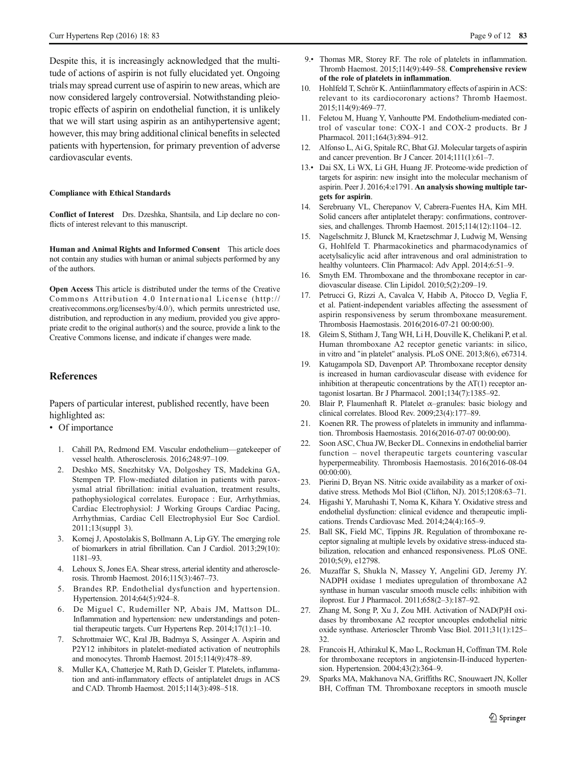<span id="page-9-0"></span>Despite this, it is increasingly acknowledged that the multitude of actions of aspirin is not fully elucidated yet. Ongoing trials may spread current use of aspirin to new areas, which are now considered largely controversial. Notwithstanding pleiotropic effects of aspirin on endothelial function, it is unlikely that we will start using aspirin as an antihypertensive agent; however, this may bring additional clinical benefits in selected patients with hypertension, for primary prevention of adverse cardiovascular events.

#### Compliance with Ethical Standards

Conflict of Interest Drs. Dzeshka, Shantsila, and Lip declare no conflicts of interest relevant to this manuscript.

Human and Animal Rights and Informed Consent This article does not contain any studies with human or animal subjects performed by any of the authors.

Open Access This article is distributed under the terms of the Creative Commons Attribution 4.0 International License (http:// creativecommons.org/licenses/by/4.0/), which permits unrestricted use, distribution, and reproduction in any medium, provided you give appropriate credit to the original author(s) and the source, provide a link to the Creative Commons license, and indicate if changes were made.

#### References

Papers of particular interest, published recently, have been highlighted as:

- Of importance
	- 1. Cahill PA, Redmond EM. Vascular endothelium—gatekeeper of vessel health. Atherosclerosis. 2016;248:97–109.
	- 2. Deshko MS, Snezhitsky VA, Dolgoshey TS, Madekina GA, Stempen TP. Flow-mediated dilation in patients with paroxysmal atrial fibrillation: initial evaluation, treatment results, pathophysiological correlates. Europace : Eur, Arrhythmias, Cardiac Electrophysiol: J Working Groups Cardiac Pacing, Arrhythmias, Cardiac Cell Electrophysiol Eur Soc Cardiol. 2011;13(suppl 3).
	- 3. Kornej J, Apostolakis S, Bollmann A, Lip GY. The emerging role of biomarkers in atrial fibrillation. Can J Cardiol. 2013;29(10): 1181–93.
	- 4. Lehoux S, Jones EA. Shear stress, arterial identity and atherosclerosis. Thromb Haemost. 2016;115(3):467–73.
	- 5. Brandes RP. Endothelial dysfunction and hypertension. Hypertension. 2014;64(5):924–8.
	- 6. De Miguel C, Rudemiller NP, Abais JM, Mattson DL. Inflammation and hypertension: new understandings and potential therapeutic targets. Curr Hypertens Rep. 2014;17(1):1–10.
	- 7. Schrottmaier WC, Kral JB, Badrnya S, Assinger A. Aspirin and P2Y12 inhibitors in platelet-mediated activation of neutrophils and monocytes. Thromb Haemost. 2015;114(9):478–89.
	- 8. Muller KA, Chatterjee M, Rath D, Geisler T. Platelets, inflammation and anti-inflammatory effects of antiplatelet drugs in ACS and CAD. Thromb Haemost. 2015;114(3):498–518.
- 9.• Thomas MR, Storey RF. The role of platelets in inflammation. Thromb Haemost. 2015;114(9):449–58. Comprehensive review of the role of platelets in inflammation.
- 10. Hohlfeld T, Schrör K. Antiinflammatory effects of aspirin in ACS: relevant to its cardiocoronary actions? Thromb Haemost. 2015;114(9):469–77.
- 11. Feletou M, Huang Y, Vanhoutte PM. Endothelium-mediated control of vascular tone: COX-1 and COX-2 products. Br J Pharmacol. 2011;164(3):894–912.
- 12. Alfonso L, Ai G, Spitale RC, Bhat GJ. Molecular targets of aspirin and cancer prevention. Br J Cancer. 2014;111(1):61–7.
- 13.• Dai SX, Li WX, Li GH, Huang JF. Proteome-wide prediction of targets for aspirin: new insight into the molecular mechanism of aspirin. Peer J. 2016;4:e1791. An analysis showing multiple targets for aspirin.
- 14. Serebruany VL, Cherepanov V, Cabrera-Fuentes HA, Kim MH. Solid cancers after antiplatelet therapy: confirmations, controversies, and challenges. Thromb Haemost. 2015;114(12):1104–12.
- 15. Nagelschmitz J, Blunck M, Kraetzschmar J, Ludwig M, Wensing G, Hohlfeld T. Pharmacokinetics and pharmacodynamics of acetylsalicylic acid after intravenous and oral administration to healthy volunteers. Clin Pharmacol: Adv Appl. 2014;6:51–9.
- 16. Smyth EM. Thromboxane and the thromboxane receptor in cardiovascular disease. Clin Lipidol. 2010;5(2):209–19.
- 17. Petrucci G, Rizzi A, Cavalca V, Habib A, Pitocco D, Veglia F, et al. Patient-independent variables affecting the assessment of aspirin responsiveness by serum thromboxane measurement. Thrombosis Haemostasis. 2016(2016-07-21 00:00:00).
- 18. Gleim S, Stitham J, Tang WH, Li H, Douville K, Chelikani P, et al. Human thromboxane A2 receptor genetic variants: in silico, in vitro and "in platelet" analysis. PLoS ONE. 2013;8(6), e67314.
- 19. Katugampola SD, Davenport AP. Thromboxane receptor density is increased in human cardiovascular disease with evidence for inhibition at therapeutic concentrations by the  $AT(1)$  receptor antagonist losartan. Br J Pharmacol. 2001;134(7):1385–92.
- 20. Blair P, Flaumenhaft R. Platelet  $\alpha$ –granules: basic biology and clinical correlates. Blood Rev. 2009;23(4):177–89.
- 21. Koenen RR. The prowess of platelets in immunity and inflammation. Thrombosis Haemostasis. 2016(2016-07-07 00:00:00).
- 22. Soon ASC, Chua JW, Becker DL. Connexins in endothelial barrier function – novel therapeutic targets countering vascular hyperpermeability. Thrombosis Haemostasis. 2016(2016-08-04 00:00:00).
- 23. Pierini D, Bryan NS. Nitric oxide availability as a marker of oxidative stress. Methods Mol Biol (Clifton, NJ). 2015;1208:63–71.
- 24. Higashi Y, Maruhashi T, Noma K, Kihara Y. Oxidative stress and endothelial dysfunction: clinical evidence and therapeutic implications. Trends Cardiovasc Med. 2014;24(4):165–9.
- 25. Ball SK, Field MC, Tippins JR. Regulation of thromboxane receptor signaling at multiple levels by oxidative stress-induced stabilization, relocation and enhanced responsiveness. PLoS ONE. 2010;5(9), e12798.
- 26. Muzaffar S, Shukla N, Massey Y, Angelini GD, Jeremy JY. NADPH oxidase 1 mediates upregulation of thromboxane A2 synthase in human vascular smooth muscle cells: inhibition with iloprost. Eur J Pharmacol. 2011;658(2–3):187–92.
- Zhang M, Song P, Xu J, Zou MH. Activation of NAD(P)H oxidases by thromboxane A2 receptor uncouples endothelial nitric oxide synthase. Arterioscler Thromb Vasc Biol. 2011;31(1):125– 32.
- 28. Francois H, Athirakul K, Mao L, Rockman H, Coffman TM. Role for thromboxane receptors in angiotensin-II-induced hypertension. Hypertension. 2004;43(2):364–9.
- 29. Sparks MA, Makhanova NA, Griffiths RC, Snouwaert JN, Koller BH, Coffman TM. Thromboxane receptors in smooth muscle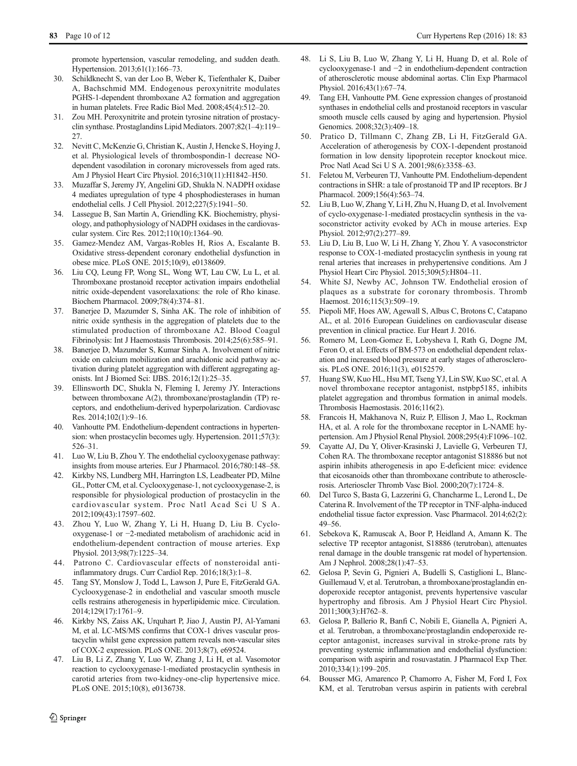<span id="page-10-0"></span>promote hypertension, vascular remodeling, and sudden death. Hypertension. 2013;61(1):166–73.

- 30. Schildknecht S, van der Loo B, Weber K, Tiefenthaler K, Daiber A, Bachschmid MM. Endogenous peroxynitrite modulates PGHS-1-dependent thromboxane A2 formation and aggregation in human platelets. Free Radic Biol Med. 2008;45(4):512–20.
- 31. Zou MH. Peroxynitrite and protein tyrosine nitration of prostacyclin synthase. Prostaglandins Lipid Mediators. 2007;82(1–4):119– 27.
- 32. Nevitt C, McKenzie G, Christian K, Austin J, Hencke S, Hoying J, et al. Physiological levels of thrombospondin-1 decrease NOdependent vasodilation in coronary microvessels from aged rats. Am J Physiol Heart Circ Physiol. 2016;310(11):H1842–H50.
- 33. Muzaffar S, Jeremy JY, Angelini GD, Shukla N. NADPH oxidase 4 mediates upregulation of type 4 phosphodiesterases in human endothelial cells. J Cell Physiol. 2012;227(5):1941–50.
- 34. Lassegue B, San Martin A, Griendling KK. Biochemistry, physiology, and pathophysiology of NADPH oxidases in the cardiovascular system. Circ Res. 2012;110(10):1364–90.
- 35. Gamez-Mendez AM, Vargas-Robles H, Rios A, Escalante B. Oxidative stress-dependent coronary endothelial dysfunction in obese mice. PLoS ONE. 2015;10(9), e0138609.
- 36. Liu CQ, Leung FP, Wong SL, Wong WT, Lau CW, Lu L, et al. Thromboxane prostanoid receptor activation impairs endothelial nitric oxide-dependent vasorelaxations: the role of Rho kinase. Biochem Pharmacol. 2009;78(4):374–81.
- 37. Banerjee D, Mazumder S, Sinha AK. The role of inhibition of nitric oxide synthesis in the aggregation of platelets due to the stimulated production of thromboxane A2. Blood Coagul Fibrinolysis: Int J Haemostasis Thrombosis. 2014;25(6):585–91.
- 38. Banerjee D, Mazumder S, Kumar Sinha A. Involvement of nitric oxide on calcium mobilization and arachidonic acid pathway activation during platelet aggregation with different aggregating agonists. Int J Biomed Sci: IJBS. 2016;12(1):25–35.
- 39. Ellinsworth DC, Shukla N, Fleming I, Jeremy JY. Interactions between thromboxane A(2), thromboxane/prostaglandin (TP) receptors, and endothelium-derived hyperpolarization. Cardiovasc Res. 2014;102(1):9–16.
- 40. Vanhoutte PM. Endothelium-dependent contractions in hypertension: when prostacyclin becomes ugly. Hypertension. 2011;57(3): 526–31.
- 41. Luo W, Liu B, Zhou Y. The endothelial cyclooxygenase pathway: insights from mouse arteries. Eur J Pharmacol. 2016;780:148–58.
- 42. Kirkby NS, Lundberg MH, Harrington LS, Leadbeater PD, Milne GL, Potter CM, et al. Cyclooxygenase-1, not cyclooxygenase-2, is responsible for physiological production of prostacyclin in the cardiovascular system. Proc Natl Acad Sci U S A. 2012;109(43):17597–602.
- 43. Zhou Y, Luo W, Zhang Y, Li H, Huang D, Liu B. Cyclooxygenase-1 or −2-mediated metabolism of arachidonic acid in endothelium-dependent contraction of mouse arteries. Exp Physiol. 2013;98(7):1225–34.
- 44. Patrono C. Cardiovascular effects of nonsteroidal antiinflammatory drugs. Curr Cardiol Rep. 2016;18(3):1–8.
- 45. Tang SY, Monslow J, Todd L, Lawson J, Pure E, FitzGerald GA. Cyclooxygenase-2 in endothelial and vascular smooth muscle cells restrains atherogenesis in hyperlipidemic mice. Circulation. 2014;129(17):1761–9.
- 46. Kirkby NS, Zaiss AK, Urquhart P, Jiao J, Austin PJ, Al-Yamani M, et al. LC-MS/MS confirms that COX-1 drives vascular prostacyclin whilst gene expression pattern reveals non-vascular sites of COX-2 expression. PLoS ONE. 2013;8(7), e69524.
- 47. Liu B, Li Z, Zhang Y, Luo W, Zhang J, Li H, et al. Vasomotor reaction to cyclooxygenase-1-mediated prostacyclin synthesis in carotid arteries from two-kidney-one-clip hypertensive mice. PLoS ONE. 2015;10(8), e0136738.
- 48. Li S, Liu B, Luo W, Zhang Y, Li H, Huang D, et al. Role of cyclooxygenase-1 and −2 in endothelium-dependent contraction of atherosclerotic mouse abdominal aortas. Clin Exp Pharmacol Physiol. 2016;43(1):67–74.
- 49. Tang EH, Vanhoutte PM. Gene expression changes of prostanoid synthases in endothelial cells and prostanoid receptors in vascular smooth muscle cells caused by aging and hypertension. Physiol Genomics. 2008;32(3):409–18.
- 50. Pratico D, Tillmann C, Zhang ZB, Li H, FitzGerald GA. Acceleration of atherogenesis by COX-1-dependent prostanoid formation in low density lipoprotein receptor knockout mice. Proc Natl Acad Sci U S A. 2001;98(6):3358–63.
- 51. Feletou M, Verbeuren TJ, Vanhoutte PM. Endothelium-dependent contractions in SHR: a tale of prostanoid TP and IP receptors. Br J Pharmacol. 2009;156(4):563–74.
- 52. Liu B, Luo W, Zhang Y, Li H, Zhu N, Huang D, et al. Involvement of cyclo-oxygenase-1-mediated prostacyclin synthesis in the vasoconstrictor activity evoked by ACh in mouse arteries. Exp Physiol. 2012;97(2):277–89.
- 53. Liu D, Liu B, Luo W, Li H, Zhang Y, Zhou Y. A vasoconstrictor response to COX-1-mediated prostacyclin synthesis in young rat renal arteries that increases in prehypertensive conditions. Am J Physiol Heart Circ Physiol. 2015;309(5):H804–11.
- 54. White SJ, Newby AC, Johnson TW. Endothelial erosion of plaques as a substrate for coronary thrombosis. Thromb Haemost. 2016;115(3):509–19.
- 55. Piepoli MF, Hoes AW, Agewall S, Albus C, Brotons C, Catapano AL, et al. 2016 European Guidelines on cardiovascular disease prevention in clinical practice. Eur Heart J. 2016.
- 56. Romero M, Leon-Gomez E, Lobysheva I, Rath G, Dogne JM, Feron O, et al. Effects of BM-573 on endothelial dependent relaxation and increased blood pressure at early stages of atherosclerosis. PLoS ONE. 2016;11(3), e0152579.
- 57. Huang SW, Kuo HL, Hsu MT, Tseng YJ, Lin SW, Kuo SC, et al. A novel thromboxane receptor antagonist, nstpbp5185, inhibits platelet aggregation and thrombus formation in animal models. Thrombosis Haemostasis. 2016;116(2).
- 58. Francois H, Makhanova N, Ruiz P, Ellison J, Mao L, Rockman HA, et al. A role for the thromboxane receptor in L-NAME hypertension. Am J Physiol Renal Physiol. 2008;295(4):F1096–102.
- 59. Cayatte AJ, Du Y, Oliver-Krasinski J, Lavielle G, Verbeuren TJ, Cohen RA. The thromboxane receptor antagonist S18886 but not aspirin inhibits atherogenesis in apo E-deficient mice: evidence that eicosanoids other than thromboxane contribute to atherosclerosis. Arterioscler Thromb Vasc Biol. 2000;20(7):1724–8.
- 60. Del Turco S, Basta G, Lazzerini G, Chancharme L, Lerond L, De Caterina R. Involvement of the TP receptor in TNF-alpha-induced endothelial tissue factor expression. Vasc Pharmacol. 2014;62(2): 49–56.
- 61. Sebekova K, Ramuscak A, Boor P, Heidland A, Amann K. The selective TP receptor antagonist, S18886 (terutroban), attenuates renal damage in the double transgenic rat model of hypertension. Am J Nephrol. 2008;28(1):47–53.
- 62. Gelosa P, Sevin G, Pignieri A, Budelli S, Castiglioni L, Blanc-Guillemaud V, et al. Terutroban, a thromboxane/prostaglandin endoperoxide receptor antagonist, prevents hypertensive vascular hypertrophy and fibrosis. Am J Physiol Heart Circ Physiol. 2011;300(3):H762–8.
- 63. Gelosa P, Ballerio R, Banfi C, Nobili E, Gianella A, Pignieri A, et al. Terutroban, a thromboxane/prostaglandin endoperoxide receptor antagonist, increases survival in stroke-prone rats by preventing systemic inflammation and endothelial dysfunction: comparison with aspirin and rosuvastatin. J Pharmacol Exp Ther. 2010;334(1):199–205.
- 64. Bousser MG, Amarenco P, Chamorro A, Fisher M, Ford I, Fox KM, et al. Terutroban versus aspirin in patients with cerebral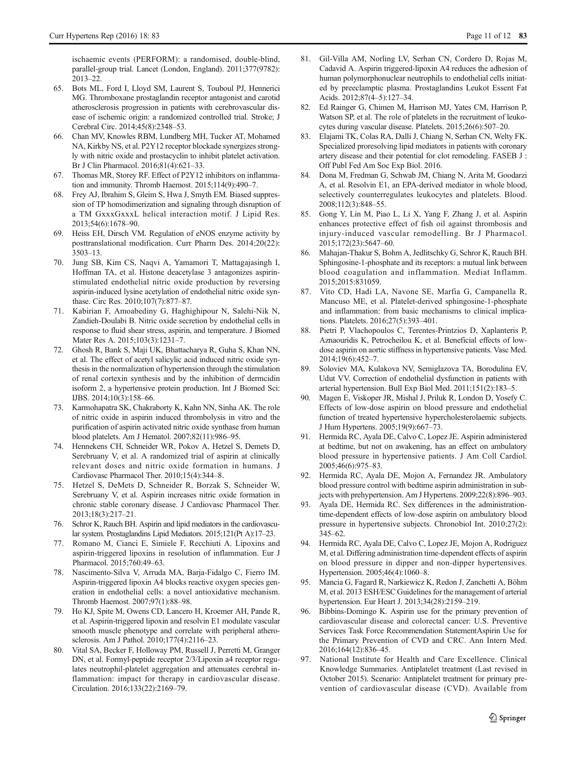<span id="page-11-0"></span>ischaemic events (PERFORM): a randomised, double-blind, parallel-group trial. Lancet (London, England). 2011;377(9782): 2013–22.

- 65. Bots ML, Ford I, Lloyd SM, Laurent S, Touboul PJ, Hennerici MG. Thromboxane prostaglandin receptor antagonist and carotid atherosclerosis progression in patients with cerebrovascular disease of ischemic origin: a randomized controlled trial. Stroke; J Cerebral Circ. 2014;45(8):2348–53.
- 66. Chan MV, Knowles RBM, Lundberg MH, Tucker AT, Mohamed NA, Kirkby NS, et al. P2Y12 receptor blockade synergizes strongly with nitric oxide and prostacyclin to inhibit platelet activation. Br J Clin Pharmacol. 2016;81(4):621–33.
- 67. Thomas MR, Storey RF. Effect of P2Y12 inhibitors on inflammation and immunity. Thromb Haemost. 2015;114(9):490–7.
- 68. Frey AJ, Ibrahim S, Gleim S, Hwa J, Smyth EM. Biased suppression of TP homodimerization and signaling through disruption of a TM GxxxGxxxL helical interaction motif. J Lipid Res. 2013;54(6):1678–90.
- 69. Heiss EH, Dirsch VM. Regulation of eNOS enzyme activity by posttranslational modification. Curr Pharm Des. 2014;20(22): 3503–13.
- 70. Jung SB, Kim CS, Naqvi A, Yamamori T, Mattagajasingh I, Hoffman TA, et al. Histone deacetylase 3 antagonizes aspirinstimulated endothelial nitric oxide production by reversing aspirin-induced lysine acetylation of endothelial nitric oxide synthase. Circ Res. 2010;107(7):877–87.
- 71. Kabirian F, Amoabediny G, Haghighipour N, Salehi-Nik N, Zandieh-Doulabi B. Nitric oxide secretion by endothelial cells in response to fluid shear stress, aspirin, and temperature. J Biomed Mater Res A. 2015;103(3):1231–7.
- 72. Ghosh R, Bank S, Maji UK, Bhattacharya R, Guha S, Khan NN, et al. The effect of acetyl salicylic acid induced nitric oxide synthesis in the normalization of hypertension through the stimulation of renal cortexin synthesis and by the inhibition of dermcidin isoform 2, a hypertensive protein production. Int J Biomed Sci: IJBS. 2014;10(3):158–66.
- 73. Karmohapatra SK, Chakraborty K, Kahn NN, Sinha AK. The role of nitric oxide in aspirin induced thrombolysis in vitro and the purification of aspirin activated nitric oxide synthase from human blood platelets. Am J Hematol. 2007;82(11):986–95.
- 74. Hennekens CH, Schneider WR, Pokov A, Hetzel S, Demets D, Serebruany V, et al. A randomized trial of aspirin at clinically relevant doses and nitric oxide formation in humans. J Cardiovasc Pharmacol Ther. 2010;15(4):344–8.
- 75. Hetzel S, DeMets D, Schneider R, Borzak S, Schneider W, Serebruany V, et al. Aspirin increases nitric oxide formation in chronic stable coronary disease. J Cardiovasc Pharmacol Ther. 2013;18(3):217–21.
- 76. Schror K, Rauch BH. Aspirin and lipid mediators in the cardiovascular system. Prostaglandins Lipid Mediators. 2015;121(Pt A):17–23.
- 77. Romano M, Cianci E, Simiele F, Recchiuti A. Lipoxins and aspirin-triggered lipoxins in resolution of inflammation. Eur J Pharmacol. 2015;760:49–63.
- 78. Nascimento-Silva V, Arruda MA, Barja-Fidalgo C, Fierro IM. Aspirin-triggered lipoxin A4 blocks reactive oxygen species generation in endothelial cells: a novel antioxidative mechanism. Thromb Haemost. 2007;97(1):88–98.
- 79. Ho KJ, Spite M, Owens CD, Lancero H, Kroemer AH, Pande R, et al. Aspirin-triggered lipoxin and resolvin E1 modulate vascular smooth muscle phenotype and correlate with peripheral atherosclerosis. Am J Pathol. 2010;177(4):2116–23.
- 80. Vital SA, Becker F, Holloway PM, Russell J, Perretti M, Granger DN, et al. Formyl-peptide receptor 2/3/Lipoxin a4 receptor regulates neutrophil-platelet aggregation and attenuates cerebral inflammation: impact for therapy in cardiovascular disease. Circulation. 2016;133(22):2169–79.
- 81. Gil-Villa AM, Norling LV, Serhan CN, Cordero D, Rojas M, Cadavid A. Aspirin triggered-lipoxin A4 reduces the adhesion of human polymorphonuclear neutrophils to endothelial cells initiated by preeclamptic plasma. Prostaglandins Leukot Essent Fat Acids. 2012;87(4–5):127–34.
- 82. Ed Rainger G, Chimen M, Harrison MJ, Yates CM, Harrison P, Watson SP, et al. The role of platelets in the recruitment of leukocytes during vascular disease. Platelets. 2015;26(6):507–20.
- 83. Elajami TK, Colas RA, Dalli J, Chiang N, Serhan CN, Welty FK. Specialized proresolving lipid mediators in patients with coronary artery disease and their potential for clot remodeling. FASEB J : Off Publ Fed Am Soc Exp Biol. 2016.
- 84. Dona M, Fredman G, Schwab JM, Chiang N, Arita M, Goodarzi A, et al. Resolvin E1, an EPA-derived mediator in whole blood, selectively counterregulates leukocytes and platelets. Blood. 2008;112(3):848–55.
- 85. Gong Y, Lin M, Piao L, Li X, Yang F, Zhang J, et al. Aspirin enhances protective effect of fish oil against thrombosis and injury-induced vascular remodelling. Br J Pharmacol. 2015;172(23):5647–60.
- 86. Mahajan-Thakur S, Bohm A, Jedlitschky G, Schror K, Rauch BH. Sphingosine-1-phosphate and its receptors: a mutual link between blood coagulation and inflammation. Mediat Inflamm. 2015;2015:831059.
- 87. Vito CD, Hadi LA, Navone SE, Marfia G, Campanella R, Mancuso ME, et al. Platelet-derived sphingosine-1-phosphate and inflammation: from basic mechanisms to clinical implications. Platelets. 2016;27(5):393–401.
- 88. Pietri P, Vlachopoulos C, Terentes-Printzios D, Xaplanteris P, Aznaouridis K, Petrocheilou K, et al. Beneficial effects of lowdose aspirin on aortic stiffness in hypertensive patients. Vasc Med. 2014;19(6):452–7.
- 89. Soloviev MA, Kulakova NV, Semiglazova TA, Borodulina EV, Udut VV. Correction of endothelial dysfunction in patients with arterial hypertension. Bull Exp Biol Med. 2011;151(2):183–5.
- 90. Magen E, Viskoper JR, Mishal J, Priluk R, London D, Yosefy C. Effects of low-dose aspirin on blood pressure and endothelial function of treated hypertensive hypercholesterolaemic subjects. J Hum Hypertens. 2005;19(9):667–73.
- 91. Hermida RC, Ayala DE, Calvo C, Lopez JE. Aspirin administered at bedtime, but not on awakening, has an effect on ambulatory blood pressure in hypertensive patients. J Am Coll Cardiol. 2005;46(6):975–83.
- 92. Hermida RC, Ayala DE, Mojon A, Fernandez JR. Ambulatory blood pressure control with bedtime aspirin administration in subjects with prehypertension. Am J Hypertens. 2009;22(8):896–903.
- Ayala DE, Hermida RC. Sex differences in the administrationtime-dependent effects of low-dose aspirin on ambulatory blood pressure in hypertensive subjects. Chronobiol Int. 2010;27(2): 345–62.
- 94. Hermida RC, Ayala DE, Calvo C, Lopez JE, Mojon A, Rodriguez M, et al. Differing administration time-dependent effects of aspirin on blood pressure in dipper and non-dipper hypertensives. Hypertension. 2005;46(4):1060–8.
- 95. Mancia G, Fagard R, Narkiewicz K, Redon J, Zanchetti A, Böhm M, et al. 2013 ESH/ESC Guidelines for the management of arterial hypertension. Eur Heart J. 2013;34(28):2159–219.
- 96. Bibbins-Domingo K. Aspirin use for the primary prevention of cardiovascular disease and colorectal cancer: U.S. Preventive Services Task Force Recommendation StatementAspirin Use for the Primary Prevention of CVD and CRC. Ann Intern Med. 2016;164(12):836–45.
- 97. National Institute for Health and Care Excellence. Clinical Knowledge Summaries. Antiplatelet treatment (Last revised in October 2015). Scenario: Antiplatelet treatment for primary prevention of cardiovascular disease (CVD). Available from